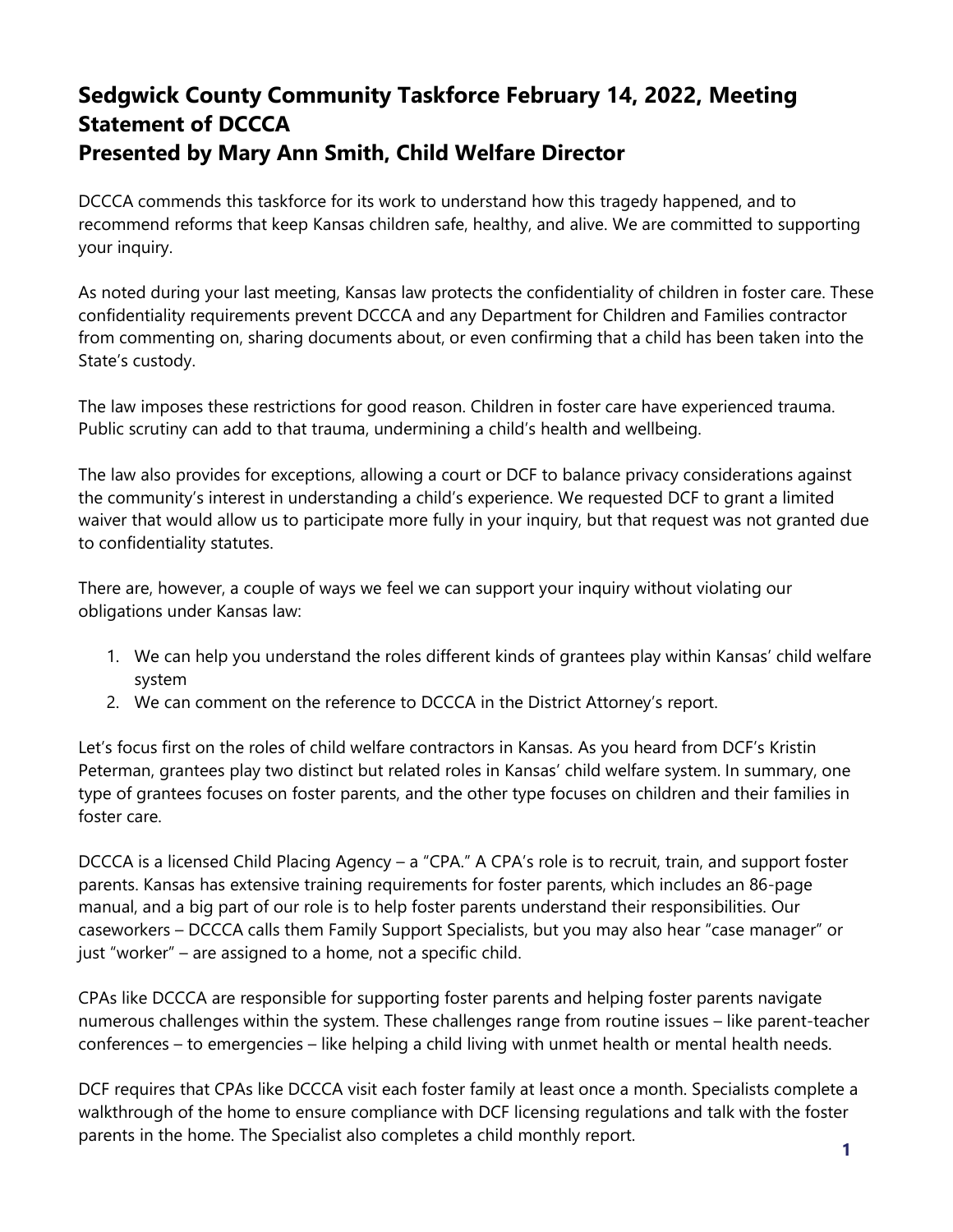# **Sedgwick County Community Taskforce February 14, 2022, Meeting Statement of DCCCA Presented by Mary Ann Smith, Child Welfare Director**

DCCCA commends this taskforce for its work to understand how this tragedy happened, and to recommend reforms that keep Kansas children safe, healthy, and alive. We are committed to supporting your inquiry.

As noted during your last meeting, Kansas law protects the confidentiality of children in foster care. These confidentiality requirements prevent DCCCA and any Department for Children and Families contractor from commenting on, sharing documents about, or even confirming that a child has been taken into the State's custody.

The law imposes these restrictions for good reason. Children in foster care have experienced trauma. Public scrutiny can add to that trauma, undermining a child's health and wellbeing.

The law also provides for exceptions, allowing a court or DCF to balance privacy considerations against the community's interest in understanding a child's experience. We requested DCF to grant a limited waiver that would allow us to participate more fully in your inquiry, but that request was not granted due to confidentiality statutes.

There are, however, a couple of ways we feel we can support your inquiry without violating our obligations under Kansas law:

- 1. We can help you understand the roles different kinds of grantees play within Kansas' child welfare system
- 2. We can comment on the reference to DCCCA in the District Attorney's report.

Let's focus first on the roles of child welfare contractors in Kansas. As you heard from DCF's Kristin Peterman, grantees play two distinct but related roles in Kansas' child welfare system. In summary, one type of grantees focuses on foster parents, and the other type focuses on children and their families in foster care.

DCCCA is a licensed Child Placing Agency – a "CPA." A CPA's role is to recruit, train, and support foster parents. Kansas has extensive training requirements for foster parents, which includes an 86-page manual, and a big part of our role is to help foster parents understand their responsibilities. Our caseworkers – DCCCA calls them Family Support Specialists, but you may also hear "case manager" or just "worker" – are assigned to a home, not a specific child.

CPAs like DCCCA are responsible for supporting foster parents and helping foster parents navigate numerous challenges within the system. These challenges range from routine issues – like parent-teacher conferences – to emergencies – like helping a child living with unmet health or mental health needs.

DCF requires that CPAs like DCCCA visit each foster family at least once a month. Specialists complete a walkthrough of the home to ensure compliance with DCF licensing regulations and talk with the foster parents in the home. The Specialist also completes a child monthly report.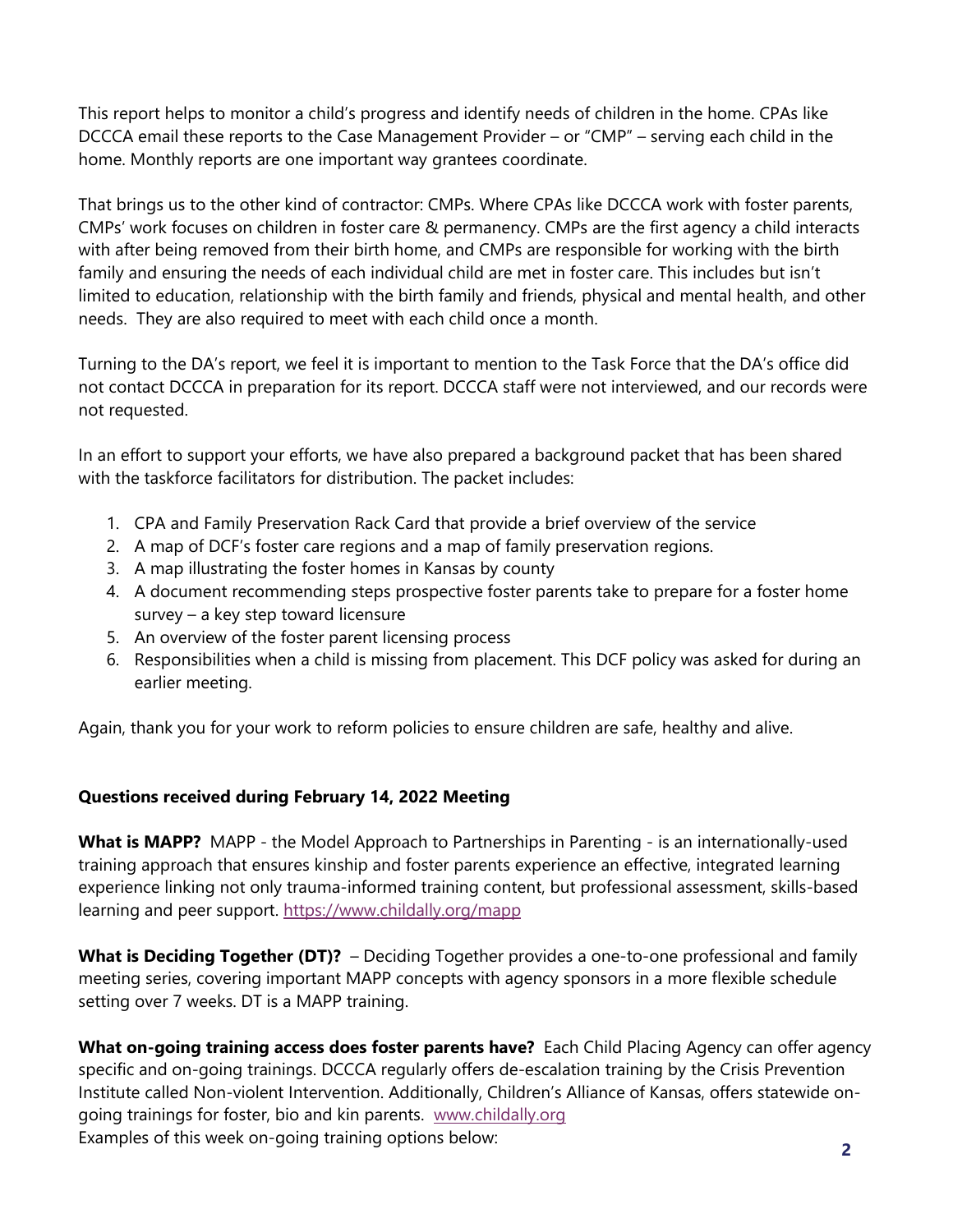This report helps to monitor a child's progress and identify needs of children in the home. CPAs like DCCCA email these reports to the Case Management Provider – or "CMP" – serving each child in the home. Monthly reports are one important way grantees coordinate.

That brings us to the other kind of contractor: CMPs. Where CPAs like DCCCA work with foster parents, CMPs' work focuses on children in foster care & permanency. CMPs are the first agency a child interacts with after being removed from their birth home, and CMPs are responsible for working with the birth family and ensuring the needs of each individual child are met in foster care. This includes but isn't limited to education, relationship with the birth family and friends, physical and mental health, and other needs. They are also required to meet with each child once a month.

Turning to the DA's report, we feel it is important to mention to the Task Force that the DA's office did not contact DCCCA in preparation for its report. DCCCA staff were not interviewed, and our records were not requested.

In an effort to support your efforts, we have also prepared a background packet that has been shared with the taskforce facilitators for distribution. The packet includes:

- 1. CPA and Family Preservation Rack Card that provide a brief overview of the service
- 2. A map of DCF's foster care regions and a map of family preservation regions.
- 3. A map illustrating the foster homes in Kansas by county
- 4. A document recommending steps prospective foster parents take to prepare for a foster home survey – a key step toward licensure
- 5. An overview of the foster parent licensing process
- 6. Responsibilities when a child is missing from placement. This DCF policy was asked for during an earlier meeting.

Again, thank you for your work to reform policies to ensure children are safe, healthy and alive.

## **Questions received during February 14, 2022 Meeting**

**What is MAPP?** MAPP - the Model Approach to Partnerships in Parenting - is an internationally-used training approach that ensures kinship and foster parents experience an effective, integrated learning experience linking not only trauma-informed training content, but professional assessment, skills-based learning and peer support.<https://www.childally.org/mapp>

What is Deciding Together (DT)? - Deciding Together provides a one-to-one professional and family meeting series, covering important MAPP concepts with agency sponsors in a more flexible schedule setting over 7 weeks. DT is a MAPP training.

**What on-going training access does foster parents have?** Each Child Placing Agency can offer agency specific and on-going trainings. DCCCA regularly offers de-escalation training by the Crisis Prevention Institute called Non-violent Intervention. Additionally, Children's Alliance of Kansas, offers statewide ongoing trainings for foster, bio and kin parents. [www.childally.org](http://www.childally.org/) Examples of this week on-going training options below: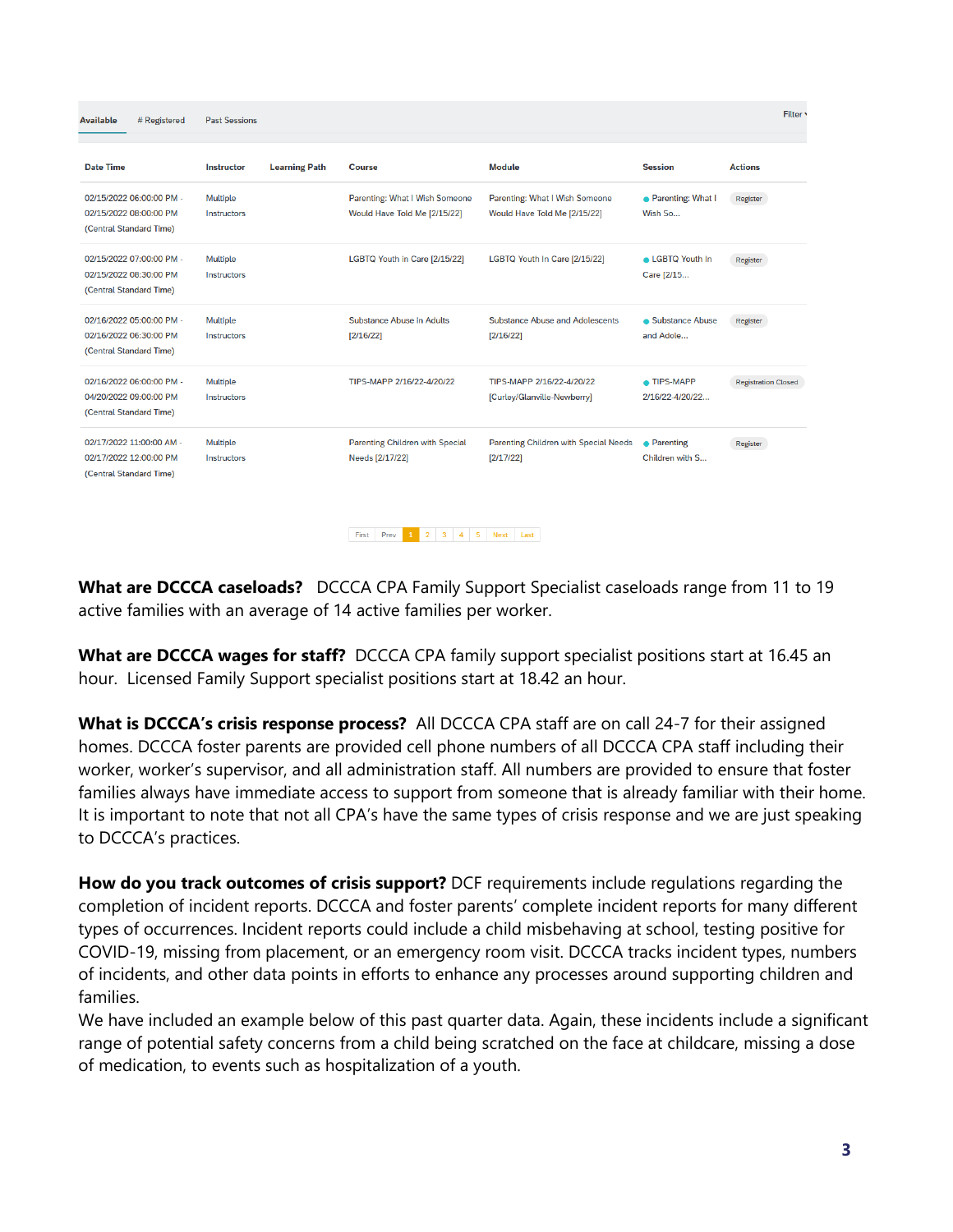**Available** # Registered **Past Sessions Date Time Instructor Learning Path** Course **Module Session Actions** 02/15/2022 06:00:00 PM -Multiple Parenting: What I Wish Someone Parenting: What I Wish Someone • Parenting: What I Register 02/15/2022 08:00:00 PM Would Have Told Me [2/15/22] Would Have Told Me [2/15/22] Wish So... Instructors (Central Standard Time) 02/15/2022 07:00:00 PM -LGBTQ Youth in Care [2/15/22] LGBTQ Youth In Care [2/15/22] • LGBTQ Youth In Multiple Register 02/15/2022 08:30:00 PM Care [2/15... Instructors (Central Standard Time) 02/16/2022 05:00:00 PM -Substance Abuse in Adults Substance Abuse and Adolescents Multiple Substance Abuse Register 02/16/2022 06:30:00 PM Instructors  $[2/16/22]$  $[2/16/22]$ and Adole... (Central Standard Time)  $\bullet$  TIPS-MAPP 02/16/2022 06:00:00 PM -Multiple TIPS-MAPP 2/16/22-4/20/22 TIPS-MAPP 2/16/22-4/20/22 **Registration Closed** 04/20/2022 09:00:00 PM Instructors [Curley/Glanville-Newberry] 2/16/22-4/20/22... (Central Standard Time) 02/17/2022 11:00:00 AM -Multiple **Parenting Children with Special** Parenting Children with Special Needs · Parenting Register 02/17/2022 12:00:00 PM Instructors Needs [2/17/22]  $[2/17/22]$ Children with S... (Central Standard Time)

**What are DCCCA caseloads?** DCCCA CPA Family Support Specialist caseloads range from 11 to 19 active families with an average of 14 active families per worker.

First Prev 1 2 3 4 5 Next Last

**What are DCCCA wages for staff?** DCCCA CPA family support specialist positions start at 16.45 an hour. Licensed Family Support specialist positions start at 18.42 an hour.

**What is DCCCA's crisis response process?** All DCCCA CPA staff are on call 24-7 for their assigned homes. DCCCA foster parents are provided cell phone numbers of all DCCCA CPA staff including their worker, worker's supervisor, and all administration staff. All numbers are provided to ensure that foster families always have immediate access to support from someone that is already familiar with their home. It is important to note that not all CPA's have the same types of crisis response and we are just speaking to DCCCA's practices.

**How do you track outcomes of crisis support?** DCF requirements include regulations regarding the completion of incident reports. DCCCA and foster parents' complete incident reports for many different types of occurrences. Incident reports could include a child misbehaving at school, testing positive for COVID-19, missing from placement, or an emergency room visit. DCCCA tracks incident types, numbers of incidents, and other data points in efforts to enhance any processes around supporting children and families.

We have included an example below of this past quarter data. Again, these incidents include a significant range of potential safety concerns from a child being scratched on the face at childcare, missing a dose of medication, to events such as hospitalization of a youth.

Filter<sup>1</sup>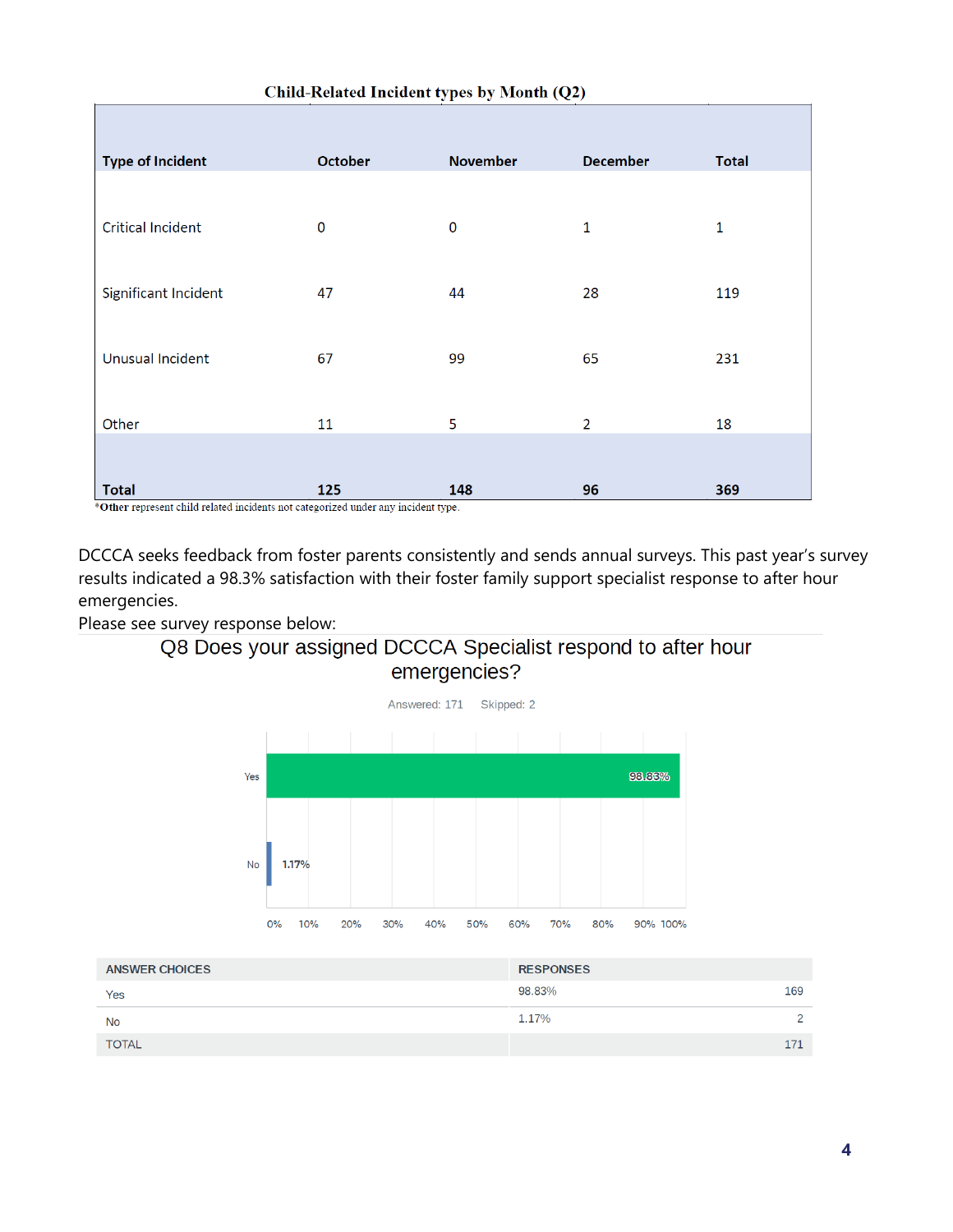| <b>Type of Incident</b>  | October  | <b>November</b> | <b>December</b> | <b>Total</b> |
|--------------------------|----------|-----------------|-----------------|--------------|
|                          |          |                 |                 |              |
| <b>Critical Incident</b> | $\bf{0}$ | $\mathbf 0$     | $\mathbf{1}$    | $\mathbf{1}$ |
| Significant Incident     | 47       | 44              | 28              | 119          |
|                          |          |                 |                 |              |
| <b>Unusual Incident</b>  | 67       | 99              | 65              | 231          |
| Other                    | 11       | 5               | $\overline{2}$  | 18           |
|                          |          |                 |                 |              |
| <b>Total</b>             | 125      | 148             | 96              | 369          |

#### Child-Related Incident types by Month (Q2)

\*Other represent child related incidents not categorized under any incident type.

DCCCA seeks feedback from foster parents consistently and sends annual surveys. This past year's survey results indicated a 98.3% satisfaction with their foster family support specialist response to after hour emergencies.

Please see survey response below:





| <b>ANSWER CHOICES</b> | <b>RESPONSES</b> |               |
|-----------------------|------------------|---------------|
| Yes                   | 98.83%           | 169           |
| <b>No</b>             | 1.17%            | $\mathcal{D}$ |
| <b>TOTAL</b>          |                  | 171           |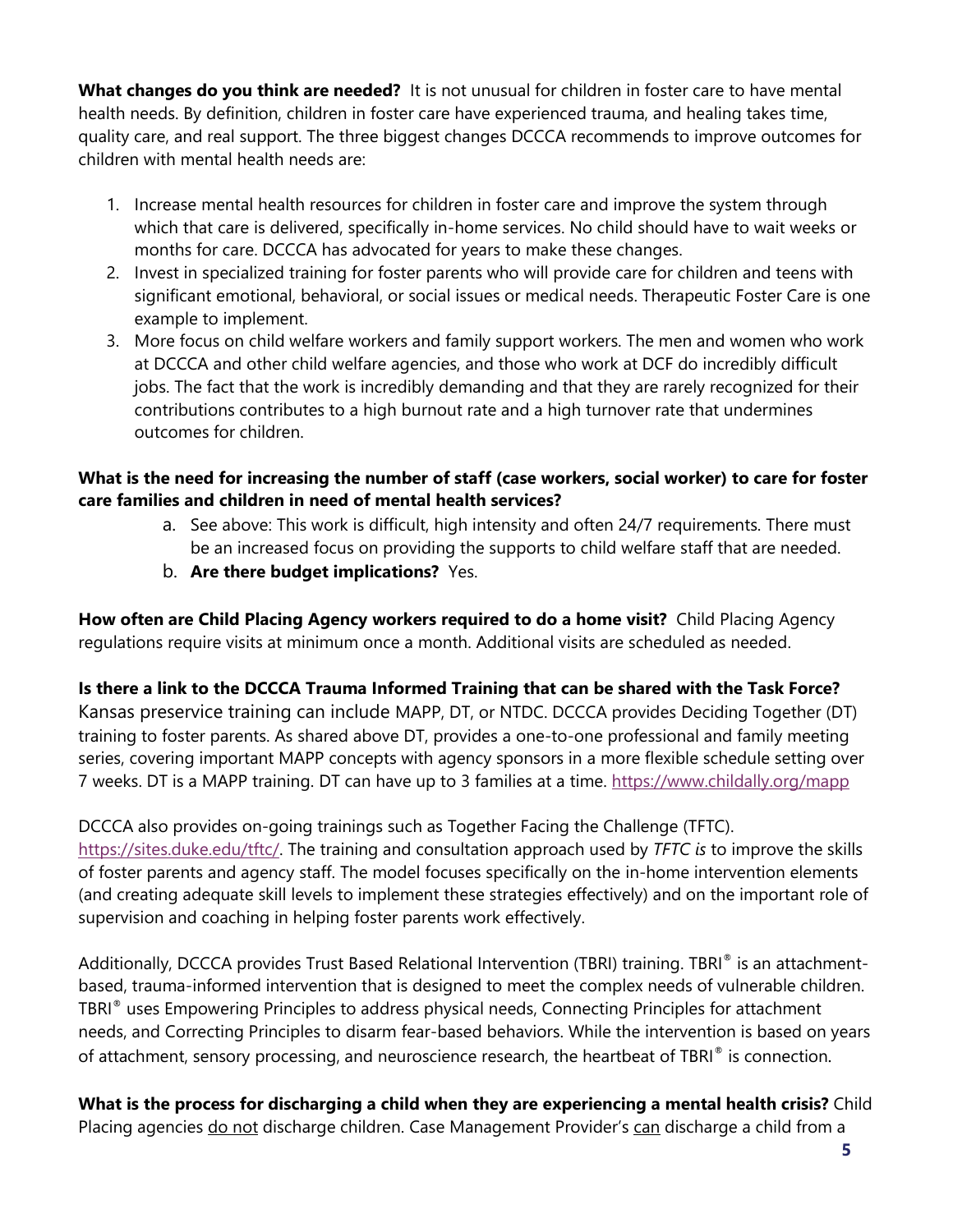**What changes do you think are needed?** It is not unusual for children in foster care to have mental health needs. By definition, children in foster care have experienced trauma, and healing takes time, quality care, and real support. The three biggest changes DCCCA recommends to improve outcomes for children with mental health needs are:

- 1. Increase mental health resources for children in foster care and improve the system through which that care is delivered, specifically in-home services. No child should have to wait weeks or months for care. DCCCA has advocated for years to make these changes.
- 2. Invest in specialized training for foster parents who will provide care for children and teens with significant emotional, behavioral, or social issues or medical needs. Therapeutic Foster Care is one example to implement.
- 3. More focus on child welfare workers and family support workers. The men and women who work at DCCCA and other child welfare agencies, and those who work at DCF do incredibly difficult jobs. The fact that the work is incredibly demanding and that they are rarely recognized for their contributions contributes to a high burnout rate and a high turnover rate that undermines outcomes for children.

### **What is the need for increasing the number of staff (case workers, social worker) to care for foster care families and children in need of mental health services?**

- a. See above: This work is difficult, high intensity and often 24/7 requirements. There must be an increased focus on providing the supports to child welfare staff that are needed.
- b. **Are there budget implications?** Yes.

**How often are Child Placing Agency workers required to do a home visit?** Child Placing Agency regulations require visits at minimum once a month. Additional visits are scheduled as needed.

## **Is there a link to the DCCCA Trauma Informed Training that can be shared with the Task Force?**

Kansas preservice training can include MAPP, DT, or NTDC. DCCCA provides Deciding Together (DT) training to foster parents. As shared above DT, provides a one-to-one professional and family meeting series, covering important MAPP concepts with agency sponsors in a more flexible schedule setting over 7 weeks. DT is a MAPP training. DT can have up to 3 families at a time.<https://www.childally.org/mapp>

DCCCA also provides on-going trainings such as Together Facing the Challenge (TFTC). [https://sites.duke.edu/tftc/.](https://sites.duke.edu/tftc/) The training and consultation approach used by *TFTC is* to improve the skills of foster parents and agency staff. The model focuses specifically on the in-home intervention elements (and creating adequate skill levels to implement these strategies effectively) and on the important role of supervision and coaching in helping foster parents work effectively.

Additionally, DCCCA provides Trust Based Relational Intervention (TBRI) training. TBRI® is an attachmentbased, trauma-informed intervention that is designed to meet the complex needs of vulnerable children. TBRI® uses Empowering Principles to address physical needs, Connecting Principles for attachment needs, and Correcting Principles to disarm fear-based behaviors. While the intervention is based on years of attachment, sensory processing, and neuroscience research, the heartbeat of TBRI® is connection.

**What is the process for discharging a child when they are experiencing a mental health crisis?** Child Placing agencies do not discharge children. Case Management Provider's can discharge a child from a